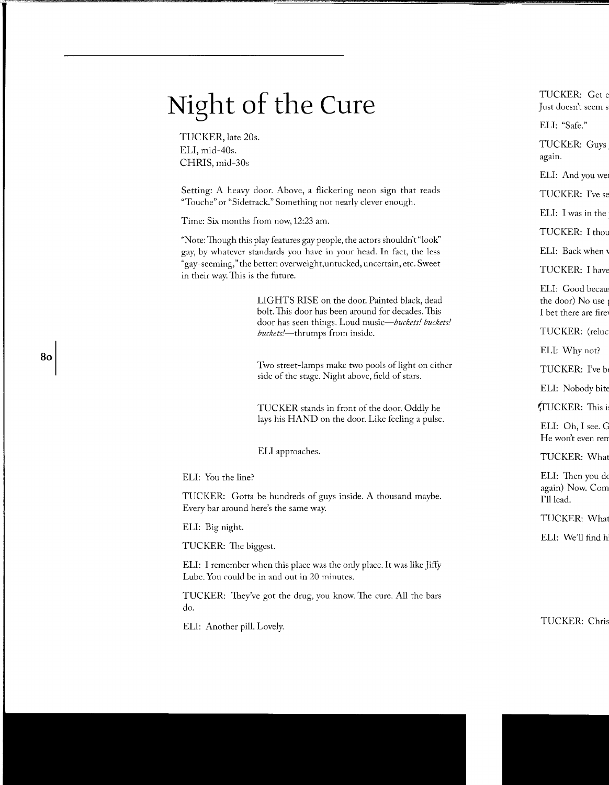## **Night of the Cure**

TUCKER, late 20s. ELI, mid-40s. CHRIS, mid-30s

Setting: A heavy door. Above, a flickering neon sign that reads "Touche" or "Sidetrack." Something not nearly clever enough.

Time: Six months from now, 12:23 am.

\*Note: Though this play features gay people, the actors shouldn't "look" gay, by whatever standards you have in your head. In fact, the less "gay-seeming," the better: overweight,untucked, uncertain, etc. Sweet in their way. This is the future.

> LIGHTS RISE on the door. Painted black, dead bolt. This door has been around for decades.This door has seen things. Loud *music-buckets! buckets! buckets!-thrumps* from inside.

> Two street-lamps make two pools of light on either side of the stage. Night above, field of stars.

TUCKER stands in front of the door. Oddly he lays his HAND on the door. Like feeling a pulse.

ELI approaches.

ELI: You the line?

TUCKER: Cotta be hundreds of guys inside. A thousand maybe. Every bar around here's the same way.

ELI: Big night.

TUCKER: The biggest.

ELI: I remember when this place was the only place. It was like Jiffy Lube. You could be in and out in 20 minutes.

TUCKER: They've got the drug, you know. The cure. All the bars do.

ELI: Another pill. Lovely.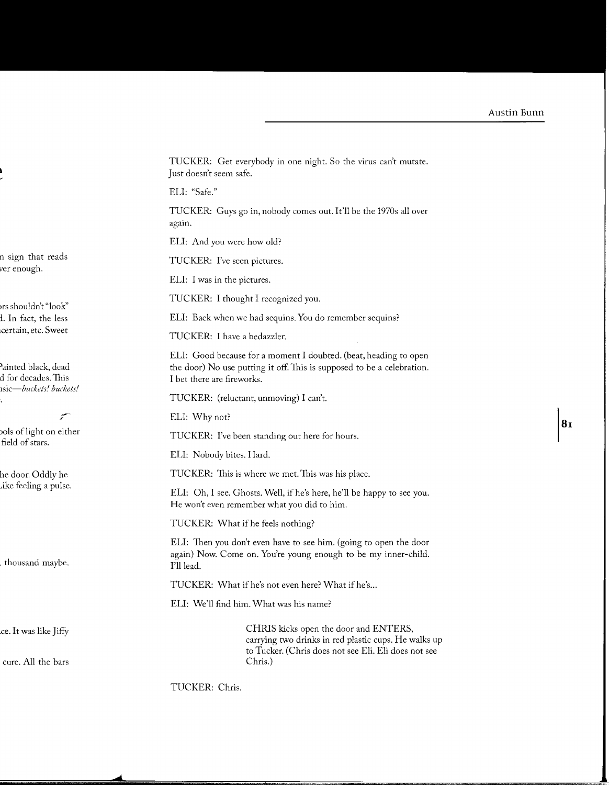TUCKER: Get everybody in one night. So the virus can't mutate. Just doesn't seem safe.

ELI: "Safe."

TUCKER: Guys go in, nobody comes out. It'll be the 1970s all over again.

ELI: And you were how old?

TUCKER: I've seen pictures.

ELI: I was in the pictures.

TUCKER: I thought I recognized you.

ELI: Back when we had sequins. You do remember sequins?

TUCKER: I have a bedazzler.

ELI: Good because for a moment I doubted. (beat, heading to open the door) No use putting it off. This is supposed to be a celebration. I bet there are fireworks.

TUCKER: (reluctant, unmoving) I can't.

ELI: Why not?

TUCKER: I've been standing out here for hours.

ELI: Nobody bites. Hard.

TUCKER: This is where we met. This was his place.

ELI: Oh, I see. Ghosts. Well, if he's here, he'll be happy to see you. He won't even remember what you did to him.

TUCKER: What if he feels nothing?

ELI: Then you don't even have to see him. (going to open the door again) Now. Come on. You're young enough to be my inner-child. I'll lead.

TUCKER: What if he's not even here? What if he's...

ELI: We'll find him. What was his name?

CHRIS kicks open the door and ENTERS, carrying two drinks in red plastic cups. He walks up to Tucker. (Chris does not see Eli. Eli does not see Chris.)

TUCKER: Chris.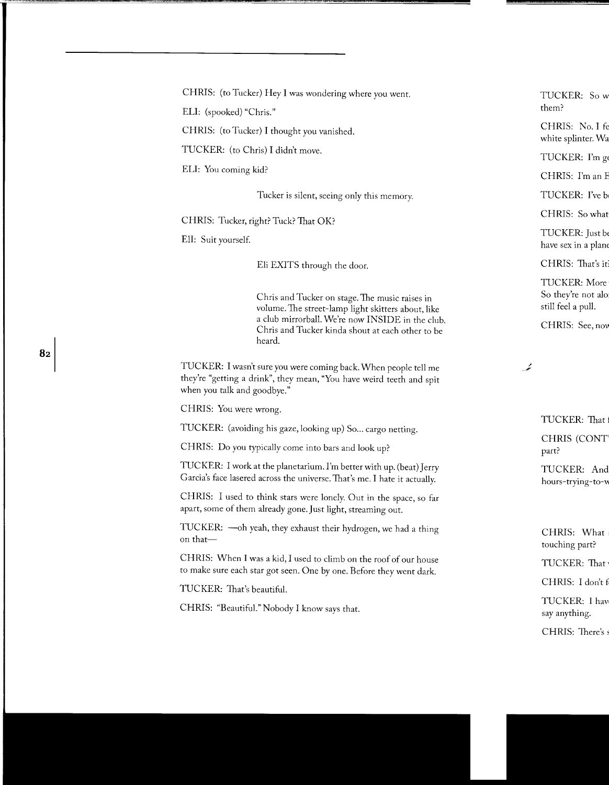CHRIS: (to Tucker) Hey I was wondering where you went.

ELI: (spooked) "Chris."

CHRIS: (to Tucker) I thought you vanished.

TUCKER: (to Chris) I didn't move.

ELI: You coming kid?

Tucker is silent, seeing only this memory.

CHRIS: Tucker, right? Tuck? That OK?

Eli: Suit yourself

82

Eli EXITS through the door.

Chris and Tucker on stage. The music raises in volume. The street-lamp light skitters about, like a club mirrorball. We're now INSIDE in the club. Chris and Tucker kinda shout at each other to be heard.

TUCKER: I wasn't sure you were coming back. When people tell me they're "getting a drink", they mean, "You have weird teeth and spit when you talk and goodbye."

CHRIS: You were wrong.

TUCKER: (avoiding his gaze, looking up) So... cargo netting.

CHRIS: Do you typically come into bars and look up?

TUCKER: I work at the planetarium. I'm better with up. (beat) Jerry Garcia's face lasered across the universe. That's me. I hate it actually.

CHRIS: I used to think stars were lonely. Out in the space, so far apart, some of them already gone. Just light, streaming out.

TUCKER: - oh yeah, they exhaust their hydrogen, we had a thing on that-

CHRIS: When I was a kid, I used to climb on the roof of our house to make sure each star got seen. One by one. Before they went dark.

TUCKER: That's beautiful.

CHRIS: "Beautiful." Nobody I know says that.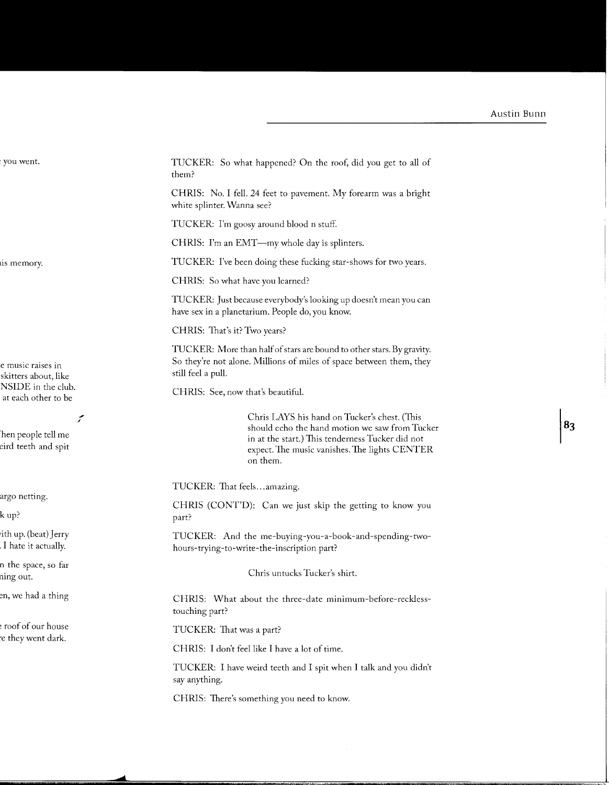TUCKER: So what happened? On the roof, did you get to all of them?

CHRIS: No. I fell. 24 feet to pavement. My forearm was a bright white splinter. Wanna see?

TUCKER: I'm goosy around blood n stuff.

CHRIS: I'm an EMT-my whole day is splinters.

TUCKER: I've been doing these fucking star-shows for two years.

CHRIS: So what have you learned?

TUCKER: Just because everybody's looking up doesn't mean you can have sex in a planetarium. People do, you know.

CHRIS: That's it? Two years?

TUCKER: More than half of stars are bound to other stars. By gravity. So they're not alone. Millions of miles of space between them, they still feel a pull.

CHRIS: See, now that's beautiful.

Chris LAYS his hand on Tucker's chest. (This should echo the hand motion we saw from Tucker in at the start.) This tenderness Tucker did not expect. The music vanishes. The lights CENTER on them.

TUCKER: That feels ... amazing.

CHRIS (CONT'D): Can we just skip the getting to know you part?

TUCKER: And the me-buying-you-a-book-and-spending-twohours-trying-to-write-the-inscription part?

Chris untucks Tucker's shirt.

CHRIS: What about the three-date minimum-before-recklesstouching part?

TUCKER: That was a part?

CHRIS: I don't feel like I have a lot of time.

TUCKER: I have weird teeth and I spit when I talk and you didn't say anything.

CHRIS: There's something you need to know.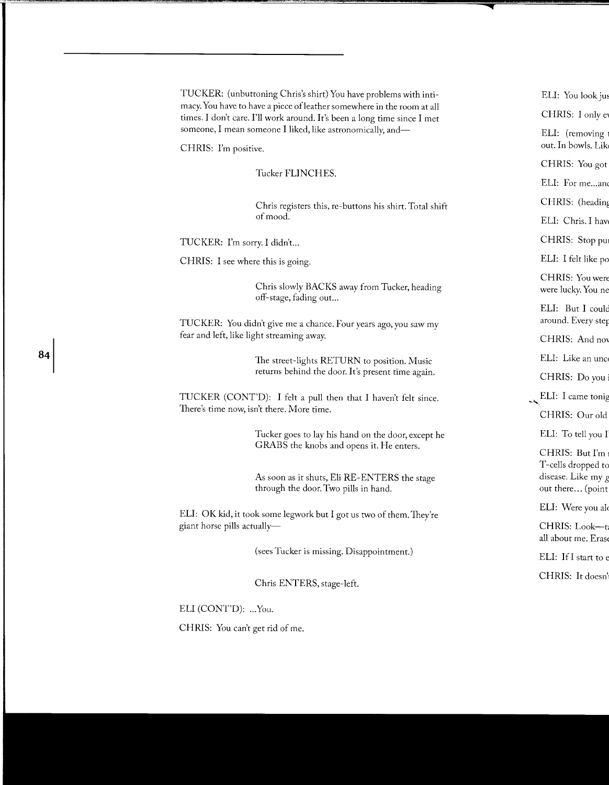TUCKER: (unbuttoning Chris's shirt) You have problems with intimacy. You have to have a piece of leather somewhere in the room at all times. I don't care. I'll work around. It's been a long time since I met someone, I mean someone I liked, like astronomically, and-

CHRIS: I'm positive.

Tucker FLINCHES.

Chris registers this, re-buttons his shirt. Total shift of mood.

TUCKER: I'm sorry. I didn't...

CHRIS: I see where this is going.

Chris slowly BACKS away from Tucker, heading off-stage, fading out...

TUCKER: You didn't give me a chance. Four years ago, you saw my fear and left, like light streaming away.

> The street-lights RETURN to position. Music returns behind the door. It's present time again.

TUCKER (CONT'D): I felt a pull then that I haven't felt since. There's time now, isn't there. More time.

> Tucker goes to lay his hand on the door, except he GRABS the knobs and opens it. He enters.

As soon as it shuts, Eli RE-ENTERS the stage through the door. Two pills in hand.

ELI: OK kid, it took some legwork but I got us two of them. They're giant horse pills actually-

(sees Tucker is missing. Disappointment.)

Chris ENTERS, stage-left.

ELI (CONT'D): ... You.

CHRlS: You can't get rid of me.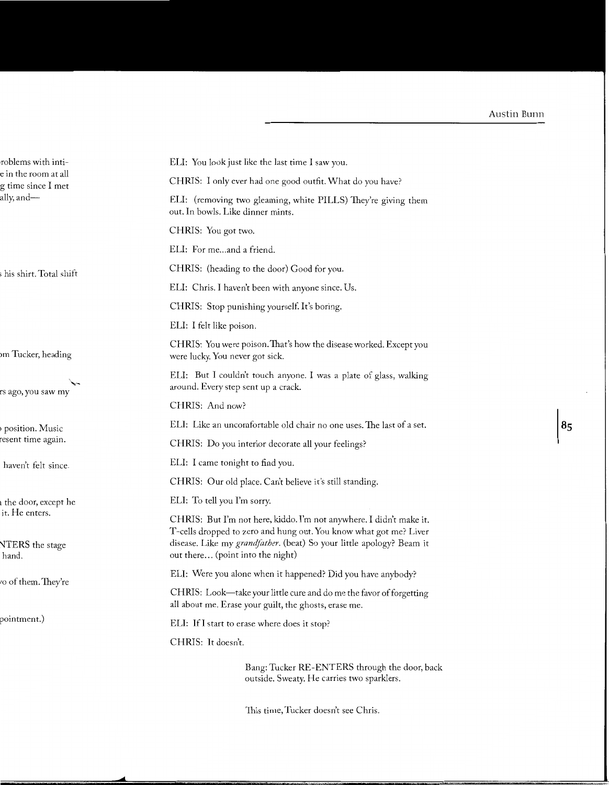ELI: You look just like the last time I saw you.

CHRIS: I only ever had one good outfit. What do you have?

ELI: (removing two gleaming, white PILLS) They're giving them out. In bowls. Like dinner mints.

CHRIS: You got two.

ELI: For me...and a friend.

CHRIS: (heading to the door) Good for you.

ELI: Chris. I haven't been with anyone since. Us.

CHRIS: Stop punishing yourself. It's boring.

ELI: I felt like poison.

CHRIS: You were poison. That's how the disease worked. Except you were lucky. You never got sick.

ELI: But I couldn't touch anyone. I was a plate of glass, walking around. Every step sent up a crack.

CHRIS: And now?

ELI: Like an uncomfortable old chair no one uses. The last of a set.

CHRIS: Do you interior decorate all your feelings?

ELI: I came tonight to find you.

CHRIS: Our old place. Can't believe it's still standing.

ELI: To tell you I'm sorry.

CHRIS: But I'm not here, kiddo. I'm not anywhere. I didn't make it. T -cells dropped to zero and hung out. You know what got me? Liver disease. Like my *grandfather.* (beat) So your little apology? Beam it out there... (point into the night)

ELI: Were you alone when it happened? Did you have anybody?

CHRIS: Look-take your little cure and do me the favor of forgetting all about me. Erase your guilt, the ghosts, erase me.

ELI: Ifl start to erase where does it stop?

CHRIS: It doesn't.

Bang: Tucker RE-ENTERS through the door, back outside. Sweaty. He carries two sparklers.

This time, Tucker doesn't see Chris.